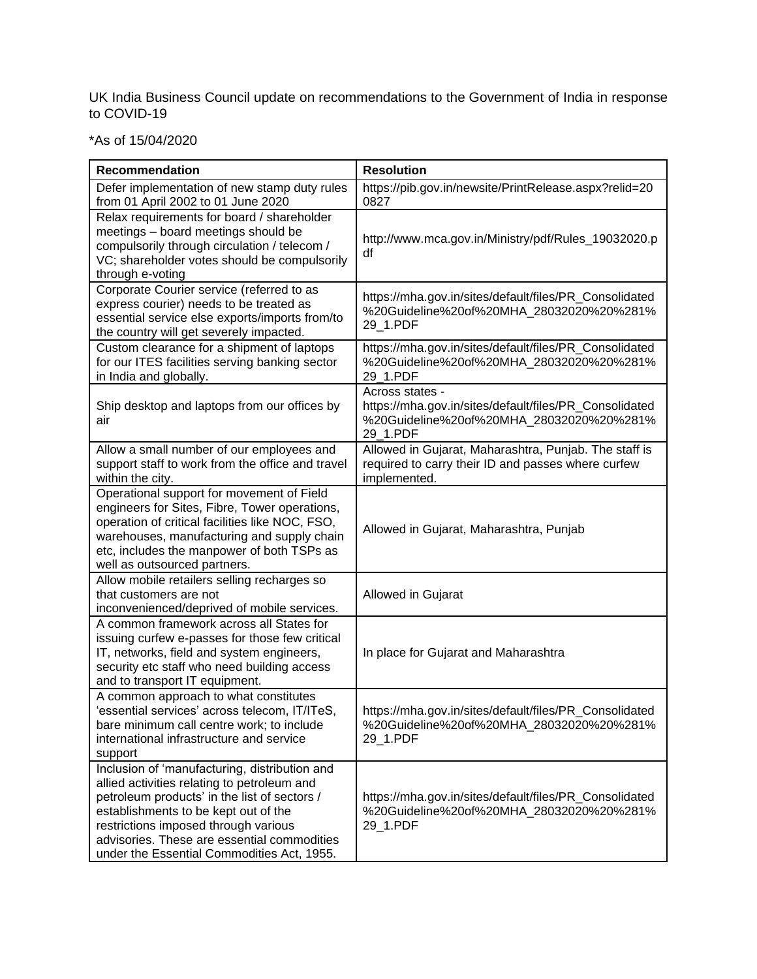UK India Business Council update on recommendations to the Government of India in response to COVID-19

\*As of 15/04/2020

| <b>Recommendation</b>                                                                                                                                                                                                                                                                                                     | <b>Resolution</b>                                                                                                                 |
|---------------------------------------------------------------------------------------------------------------------------------------------------------------------------------------------------------------------------------------------------------------------------------------------------------------------------|-----------------------------------------------------------------------------------------------------------------------------------|
| Defer implementation of new stamp duty rules<br>from 01 April 2002 to 01 June 2020                                                                                                                                                                                                                                        | https://pib.gov.in/newsite/PrintRelease.aspx?relid=20<br>0827                                                                     |
| Relax requirements for board / shareholder<br>meetings - board meetings should be<br>compulsorily through circulation / telecom /<br>VC; shareholder votes should be compulsorily<br>through e-voting                                                                                                                     | http://www.mca.gov.in/Ministry/pdf/Rules_19032020.p<br>df                                                                         |
| Corporate Courier service (referred to as<br>express courier) needs to be treated as<br>essential service else exports/imports from/to<br>the country will get severely impacted.                                                                                                                                         | https://mha.gov.in/sites/default/files/PR_Consolidated<br>%20Guideline%20of%20MHA 28032020%20%281%<br>29_1.PDF                    |
| Custom clearance for a shipment of laptops<br>for our ITES facilities serving banking sector<br>in India and globally.                                                                                                                                                                                                    | https://mha.gov.in/sites/default/files/PR_Consolidated<br>%20Guideline%20of%20MHA_28032020%20%281%<br>29 1.PDF                    |
| Ship desktop and laptops from our offices by<br>air                                                                                                                                                                                                                                                                       | Across states -<br>https://mha.gov.in/sites/default/files/PR_Consolidated<br>%20Guideline%20of%20MHA 28032020%20%281%<br>29_1.PDF |
| Allow a small number of our employees and<br>support staff to work from the office and travel<br>within the city.                                                                                                                                                                                                         | Allowed in Gujarat, Maharashtra, Punjab. The staff is<br>required to carry their ID and passes where curfew<br>implemented.       |
| Operational support for movement of Field<br>engineers for Sites, Fibre, Tower operations,<br>operation of critical facilities like NOC, FSO,<br>warehouses, manufacturing and supply chain<br>etc, includes the manpower of both TSPs as<br>well as outsourced partners.                                                 | Allowed in Gujarat, Maharashtra, Punjab                                                                                           |
| Allow mobile retailers selling recharges so<br>that customers are not<br>inconvenienced/deprived of mobile services.                                                                                                                                                                                                      | Allowed in Gujarat                                                                                                                |
| A common framework across all States for<br>issuing curfew e-passes for those few critical<br>IT, networks, field and system engineers,<br>security etc staff who need building access<br>and to transport IT equipment.                                                                                                  | In place for Gujarat and Maharashtra                                                                                              |
| A common approach to what constitutes<br>'essential services' across telecom, IT/ITeS.<br>bare minimum call centre work; to include<br>international infrastructure and service<br>support                                                                                                                                | https://mha.gov.in/sites/default/files/PR Consolidated<br>%20Guideline%20of%20MHA_28032020%20%281%<br>29_1.PDF                    |
| Inclusion of 'manufacturing, distribution and<br>allied activities relating to petroleum and<br>petroleum products' in the list of sectors /<br>establishments to be kept out of the<br>restrictions imposed through various<br>advisories. These are essential commodities<br>under the Essential Commodities Act, 1955. | https://mha.gov.in/sites/default/files/PR_Consolidated<br>%20Guideline%20of%20MHA 28032020%20%281%<br>29_1.PDF                    |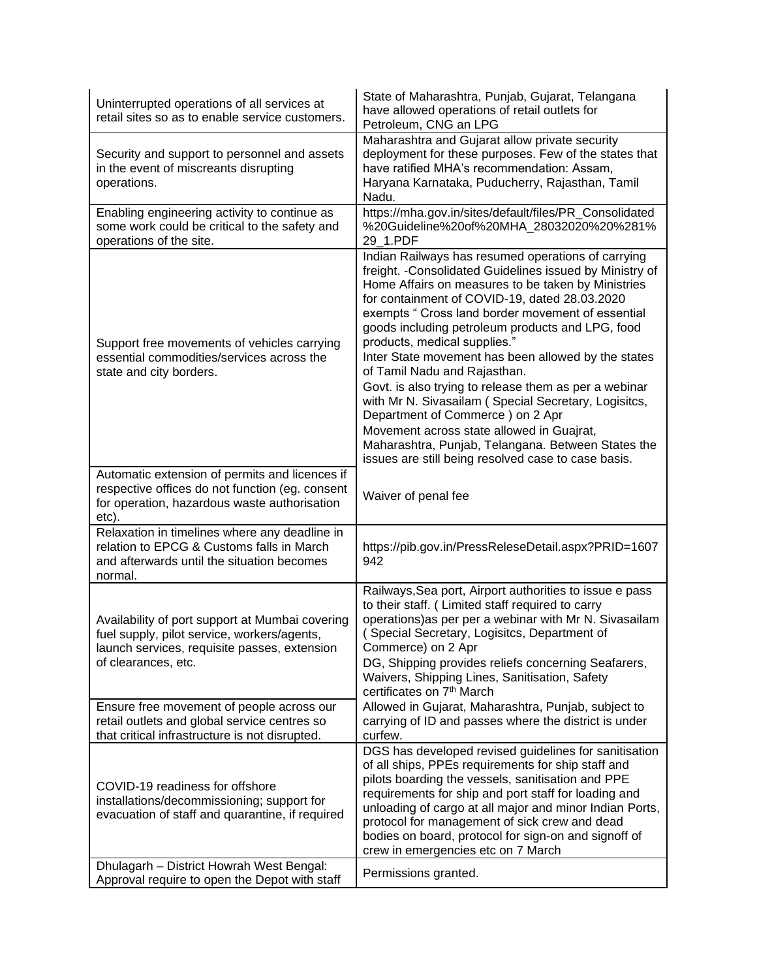| Uninterrupted operations of all services at<br>retail sites so as to enable service customers.                                                                        | State of Maharashtra, Punjab, Gujarat, Telangana<br>have allowed operations of retail outlets for<br>Petroleum, CNG an LPG                                                                                                                                                                                                                                                                                                                                                                                                                                                                                                                                                                                                                                           |
|-----------------------------------------------------------------------------------------------------------------------------------------------------------------------|----------------------------------------------------------------------------------------------------------------------------------------------------------------------------------------------------------------------------------------------------------------------------------------------------------------------------------------------------------------------------------------------------------------------------------------------------------------------------------------------------------------------------------------------------------------------------------------------------------------------------------------------------------------------------------------------------------------------------------------------------------------------|
| Security and support to personnel and assets<br>in the event of miscreants disrupting<br>operations.                                                                  | Maharashtra and Gujarat allow private security<br>deployment for these purposes. Few of the states that<br>have ratified MHA's recommendation: Assam,<br>Haryana Karnataka, Puducherry, Rajasthan, Tamil<br>Nadu.                                                                                                                                                                                                                                                                                                                                                                                                                                                                                                                                                    |
| Enabling engineering activity to continue as<br>some work could be critical to the safety and<br>operations of the site.                                              | https://mha.gov.in/sites/default/files/PR_Consolidated<br>%20Guideline%20of%20MHA_28032020%20%281%<br>29 1.PDF                                                                                                                                                                                                                                                                                                                                                                                                                                                                                                                                                                                                                                                       |
| Support free movements of vehicles carrying<br>essential commodities/services across the<br>state and city borders.                                                   | Indian Railways has resumed operations of carrying<br>freight. - Consolidated Guidelines issued by Ministry of<br>Home Affairs on measures to be taken by Ministries<br>for containment of COVID-19, dated 28.03.2020<br>exempts " Cross land border movement of essential<br>goods including petroleum products and LPG, food<br>products, medical supplies."<br>Inter State movement has been allowed by the states<br>of Tamil Nadu and Rajasthan.<br>Govt. is also trying to release them as per a webinar<br>with Mr N. Sivasailam (Special Secretary, Logisitcs,<br>Department of Commerce) on 2 Apr<br>Movement across state allowed in Guajrat,<br>Maharashtra, Punjab, Telangana. Between States the<br>issues are still being resolved case to case basis. |
| Automatic extension of permits and licences if<br>respective offices do not function (eg. consent<br>for operation, hazardous waste authorisation<br>etc).            | Waiver of penal fee                                                                                                                                                                                                                                                                                                                                                                                                                                                                                                                                                                                                                                                                                                                                                  |
| Relaxation in timelines where any deadline in<br>relation to EPCG & Customs falls in March<br>and afterwards until the situation becomes<br>normal.                   | https://pib.gov.in/PressReleseDetail.aspx?PRID=1607<br>942                                                                                                                                                                                                                                                                                                                                                                                                                                                                                                                                                                                                                                                                                                           |
| Availability of port support at Mumbai covering<br>fuel supply, pilot service, workers/agents,<br>launch services, requisite passes, extension<br>of clearances, etc. | Railways, Sea port, Airport authorities to issue e pass<br>to their staff. (Limited staff required to carry<br>operations) as per per a webinar with Mr N. Sivasailam<br>(Special Secretary, Logisitcs, Department of<br>Commerce) on 2 Apr<br>DG, Shipping provides reliefs concerning Seafarers,<br>Waivers, Shipping Lines, Sanitisation, Safety<br>certificates on 7 <sup>th</sup> March                                                                                                                                                                                                                                                                                                                                                                         |
| Ensure free movement of people across our<br>retail outlets and global service centres so<br>that critical infrastructure is not disrupted.                           | Allowed in Gujarat, Maharashtra, Punjab, subject to<br>carrying of ID and passes where the district is under<br>curfew.                                                                                                                                                                                                                                                                                                                                                                                                                                                                                                                                                                                                                                              |
| COVID-19 readiness for offshore<br>installations/decommissioning; support for<br>evacuation of staff and quarantine, if required                                      | DGS has developed revised guidelines for sanitisation<br>of all ships, PPEs requirements for ship staff and<br>pilots boarding the vessels, sanitisation and PPE<br>requirements for ship and port staff for loading and<br>unloading of cargo at all major and minor Indian Ports,<br>protocol for management of sick crew and dead<br>bodies on board, protocol for sign-on and signoff of<br>crew in emergencies etc on 7 March                                                                                                                                                                                                                                                                                                                                   |
| Dhulagarh - District Howrah West Bengal:<br>Approval require to open the Depot with staff                                                                             | Permissions granted.                                                                                                                                                                                                                                                                                                                                                                                                                                                                                                                                                                                                                                                                                                                                                 |